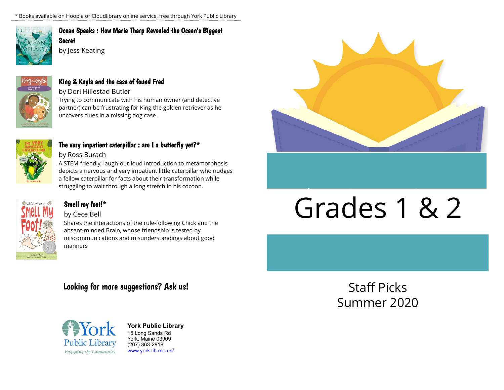\* Books available on Hoopla or Cloudlibrary online service, free through York Public Library



# [Ocean Speaks : How Marie Tharp Revealed the Ocean's Biggest](https://libraryaware.com/23RHPT) [Secret](https://libraryaware.com/23RHPT)

by Jess Keating



# [King & Kayla and the case of found Fred](https://libraryaware.com/23RHPV)

by Dori Hillestad Butler

Trying to communicate with his human owner (and detective partner) can be frustrating for King the golden retriever as he uncovers clues in a missing dog case.



# [The very impatient caterpillar : am I a butterfly yet?\\*](https://libraryaware.com/23RHPX)

by Ross Burach

A STEM-friendly, laugh-out-loud introduction to metamorphosis depicts a nervous and very impatient little caterpillar who nudges a fellow caterpillar for facts about their transformation while struggling to wait through a long stretch in his cocoon.



# [Smell my foot!\\*](https://libraryaware.com/23RHPZ)

# by Cece Bell

Shares the interactions of the rule-following Chick and the absent-minded Brain, whose friendship is tested by miscommunications and misunderstandings about good manners

# Looking for more suggestions? Ask us!



**York Public Library** 15 Long Sands Rd York, Maine 03909 (207) 363-2818 [www.york.lib.me.us/](https://libraryaware.com/23RHQ0)



# Grades 1 & 2

Staff Picks Summer 2020